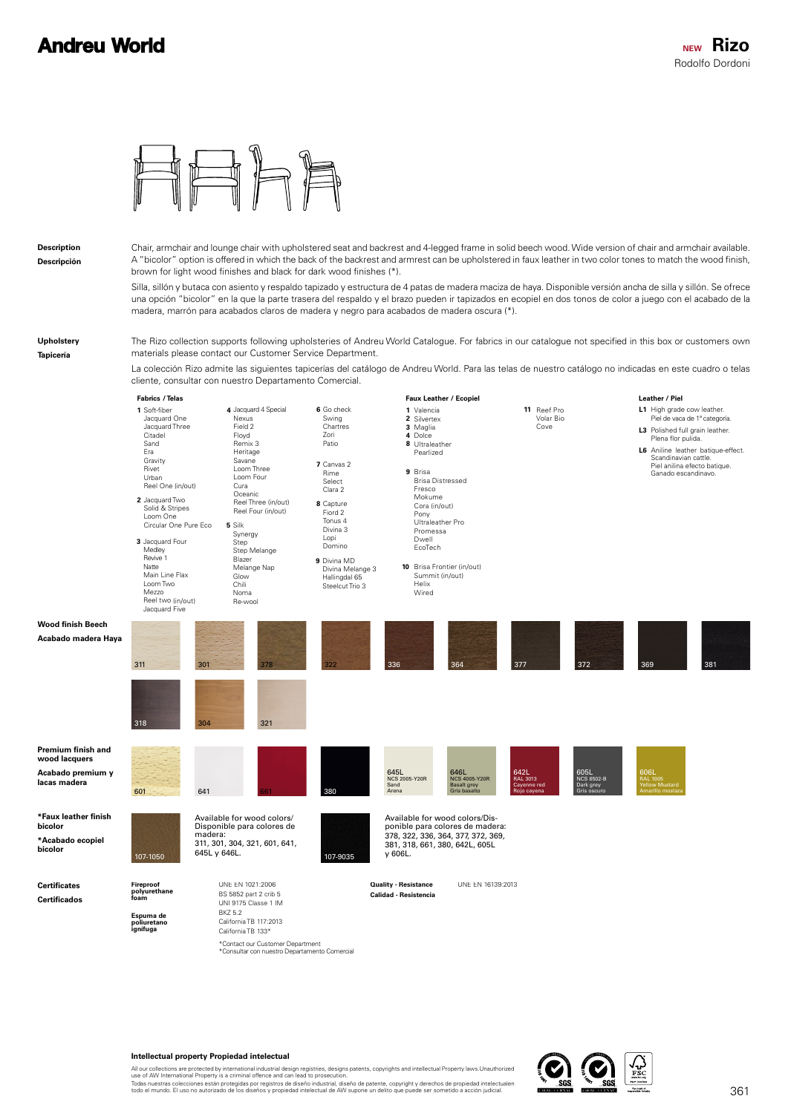

cliente, consultar con nuestro Departamento Comercial.

**Description Descripción** Chair, armchair and lounge chair with upholstered seat and backrest and 4-legged frame in solid beech wood. Wide version of chair and armchair available. A "bicolor" option is offered in which the back of the backrest and armrest can be upholstered in faux leather in two color tones to match the wood finish, brown for light wood finishes and black for dark wood finishes (\*).

Silla, sillón y butaca con asiento y respaldo tapizado y estructura de 4 patas de madera maciza de haya. Disponible versión ancha de silla y sillón. Se ofrece una opción "bicolor" en la que la parte trasera del respaldo y el brazo pueden ir tapizados en ecopiel en dos tonos de color a juego con el acabado de la madera, marrón para acabados claros de madera y negro para acabados de madera oscura (\*).

**Upholstery Tapicería**

The Rizo collection supports following upholsteries of Andreu World Catalogue. For fabrics in our catalogue not specified in this box or customers own materials please contact our Customer Service Department. La colección Rizo admite las siguientes tapicerías del catálogo de Andreu World. Para las telas de nuestro catálogo no indicadas en este cuadro o telas

**Certificates Certificados**

**bicolor**

**lacas madera**

**L1** High grade cow leather. **L3** Polished full grain leather. **L6** Aniline leather batique-effect. Valencia **1** 2 Silvertex Maglia Dolce **3 4 8** Ultraleather **10** Brisa Frontier (in/out) Summit (in/out) **11** Reef Pro **9** Brisa **1** Soft-fiber **8** Capture **9** Divina MD **5** Silk **6** Go check **7** Canvas 2 **3** Jacquard Four Medley **4** Jacquard 4 Special **2** Jacquard Two Jacquard One Jacquard Three Citadel Sand Era Gravity Rivet Urban Reel One (in/out) Fiord 2 Tonus 4 Divina 3 Lopi Domino Divina Melange 3 Hallingdal 65 Steelcut Trio 3 Synergy Step Step Melange Blazer Melange Nap Glow Chili Noma Re-wool Swing Chartres Zori Patio Rime Select Clara 2 Revive 1 Natte Main Line Flax Loom Two Mezzo Reel two (in/out) Jacquard Five Nexus Field 2 Floyd Remix 3 Heritage Savane Loom Three Loom Four Cura Oceanic Reel Three (in/out) Reel Four (in/out) Solid & Stripes Loom One Circular One Pure Eco Pearlized Helix Wired Volar Bio Cove Brisa Distressed Fresco Mokume Cora (in/out) Pony Ultraleather Pro Promessa Dwell EcoTech **Leather / Piel** Piel de vaca de 1ª categoría. Plena flor pulida. Piel anilina efecto batique. Ganado escandinavo. **Faux Leather** / Ecopiel Scandinavian cattle. **Fabrics** / Telas UNE EN 1021:2006 **Duality - Resistance** UNE EN 16139:2013 BS 5852 part 2 crib 5 UNI 9175 Classe 1 IM BKZ 5.2 California TB 117:2013 California TB 133\* **Espuma de poliuretano ignífuga Calidad - Resistencia** \*Contact our Customer Department<br>\*Consultar con nuestro Departamento Comercial **Fireproof polyurethane foam Wood finish Beech Acabado madera Haya** 311 304 301 318 378 322 336 364 377 372 369 321 336 377 372 381 **Premium finish and wood lacquers Acabado premium y**  601 641 661 380 645L NCS 2005-Y20R Sand Arena 646L NCS 4005-Y20R Basalt grey Gris basalto 642L RAL 3013 Cayenne red Rojo cayena 605L NCS 6502-B Dark grey Gris oscuro 606L RAL 1005 Yellow Mustard Amarillo mostaza **\*Faux leather finish \*Acabado ecopiel bicolor** 107-1050 **107-1050** 107-1050 **645L** y 646L. Available for wood colors/ Disponible para colores de madera: 311, 301, 304, 321, 601, 641, Available for wood colors/Dis-ponible para colores de madera: 378, 322, 336, 364, 377, 372, 369, 381, 318, 661, 380, 642L, 605L y 606L.

## **Intellectual property Propiedad intelectual**

All our collections are protected by international industrial design registries, designs patents, copyrights and intellectual Property laws.Unauthorized<br>use of AW International Property is a criminal offence and can lead t

Todas nuestras colecciones están protegidas por registros de diseño industrial, diseño de patente, copyright y derechos de propiedad intelectualen<br>todo el mundo. El uso no autorizado de los diseños y propiedad intelectual

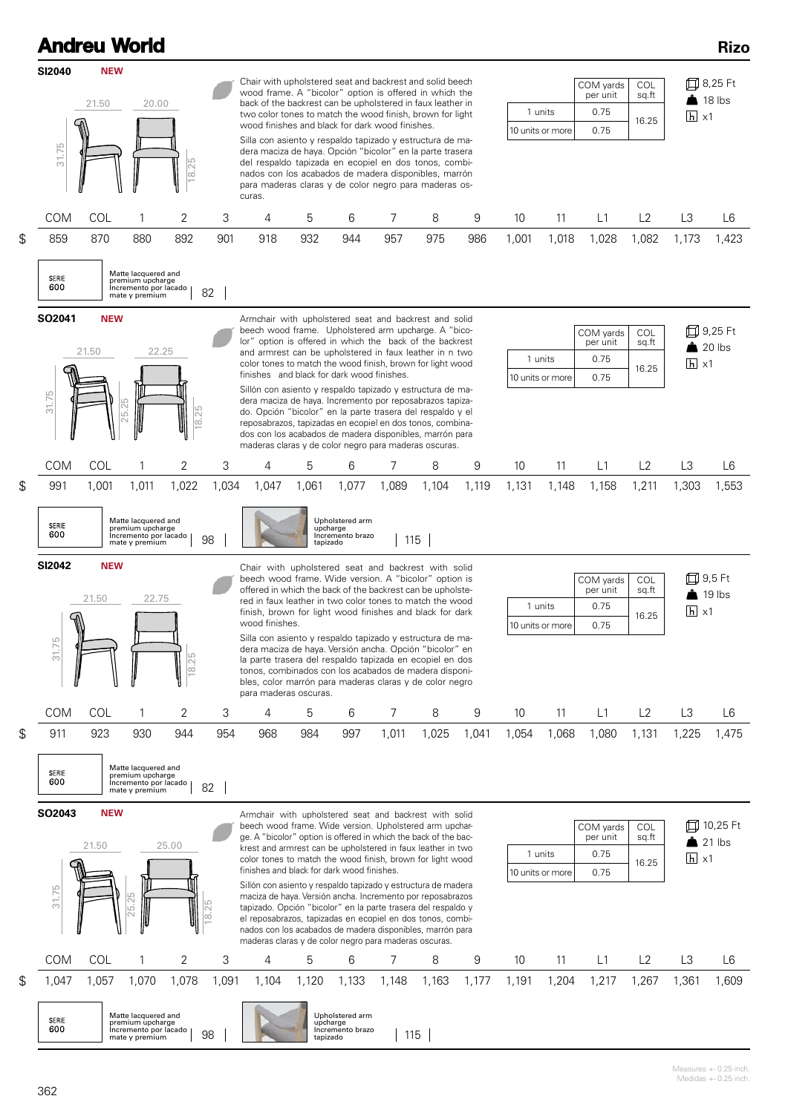|                                                                                                                                                                                                                                                                                                                                                                                                                                                                                                                               | <b>Andreu World</b>                                                                                                                                            |                                                                                    |               |           |                                                                                                                                                                                                                                                                                                                                                                                                                                                                                                                                                                                                                                                                                                                                                     |       |       |                |       |       |                                                                                                      |                               |                                       |                       |                                             | <b>Rizo</b>                                                   |  |
|-------------------------------------------------------------------------------------------------------------------------------------------------------------------------------------------------------------------------------------------------------------------------------------------------------------------------------------------------------------------------------------------------------------------------------------------------------------------------------------------------------------------------------|----------------------------------------------------------------------------------------------------------------------------------------------------------------|------------------------------------------------------------------------------------|---------------|-----------|-----------------------------------------------------------------------------------------------------------------------------------------------------------------------------------------------------------------------------------------------------------------------------------------------------------------------------------------------------------------------------------------------------------------------------------------------------------------------------------------------------------------------------------------------------------------------------------------------------------------------------------------------------------------------------------------------------------------------------------------------------|-------|-------|----------------|-------|-------|------------------------------------------------------------------------------------------------------|-------------------------------|---------------------------------------|-----------------------|---------------------------------------------|---------------------------------------------------------------|--|
| SI2040<br>31.75                                                                                                                                                                                                                                                                                                                                                                                                                                                                                                               | <b>NEW</b><br>21.50                                                                                                                                            |                                                                                    | 20.00<br>25   |           | Chair with upholstered seat and backrest and solid beech<br>wood frame. A "bicolor" option is offered in which the<br>back of the backrest can be upholstered in faux leather in<br>two color tones to match the wood finish, brown for light<br>wood finishes and black for dark wood finishes.<br>Silla con asiento y respaldo tapizado y estructura de ma-<br>dera maciza de haya. Opción "bicolor" en la parte trasera<br>del respaldo tapizada en ecopiel en dos tonos, combi-                                                                                                                                                                                                                                                                 |       |       |                |       |       |                                                                                                      | 1 units<br>10 units or more   | COM yards<br>per unit<br>0.75<br>0.75 | COL<br>sq.ft<br>16.25 |                                             | 口 8,25 Ft<br>$\frac{1}{2}$ 18 lbs<br>$\vert h \vert \times 1$ |  |
| <b>COM</b><br>COL                                                                                                                                                                                                                                                                                                                                                                                                                                                                                                             |                                                                                                                                                                |                                                                                    | $\infty$<br>2 | 3         | nados con los acabados de madera disponibles, marrón<br>para maderas claras y de color negro para maderas os-<br>curas.<br>7<br>8<br>4<br>5<br>6<br>9                                                                                                                                                                                                                                                                                                                                                                                                                                                                                                                                                                                               |       |       |                |       |       | 10                                                                                                   | 11                            | L1                                    | L2                    | L3<br>L <sub>6</sub>                        |                                                               |  |
| \$<br>859                                                                                                                                                                                                                                                                                                                                                                                                                                                                                                                     | 870                                                                                                                                                            | 880                                                                                | 892           | 901       | 918                                                                                                                                                                                                                                                                                                                                                                                                                                                                                                                                                                                                                                                                                                                                                 | 932   | 944   | 957            | 975   | 986   | 1,001                                                                                                | 1,018                         | 1,028                                 | 1,082                 | 1,173                                       | 1,423                                                         |  |
| Matte lacquered and<br><b>SERIE</b><br>premium upcharge<br>600<br>Incremento por lacado<br>82<br>mate y premium                                                                                                                                                                                                                                                                                                                                                                                                               |                                                                                                                                                                |                                                                                    |               |           |                                                                                                                                                                                                                                                                                                                                                                                                                                                                                                                                                                                                                                                                                                                                                     |       |       |                |       |       |                                                                                                      |                               |                                       |                       |                                             |                                                               |  |
| SO2041                                                                                                                                                                                                                                                                                                                                                                                                                                                                                                                        | <b>NEW</b><br>21.50                                                                                                                                            | 22.25                                                                              |               |           | Armchair with upholstered seat and backrest and solid<br>beech wood frame. Upholstered arm upcharge. A "bico-<br>lor" option is offered in which the back of the backrest<br>and armrest can be upholstered in faux leather in n two                                                                                                                                                                                                                                                                                                                                                                                                                                                                                                                |       |       |                |       |       | 1 units                                                                                              | COM yards<br>per unit<br>0.75 | COL<br>sq.ft<br>16.25                 | $\overline{h}$ x1     | 口 9,25 Ft<br>$20$ lbs                       |                                                               |  |
| color tones to match the wood finish, brown for light wood<br>finishes and black for dark wood finishes.<br>10 units or more<br>Sillón con asiento y respaldo tapizado y estructura de ma-<br>31.75<br>dera maciza de haya. Incremento por reposabrazos tapiza-<br>25<br>18.25<br>do. Opción "bicolor" en la parte trasera del respaldo y el<br>reposabrazos, tapizadas en ecopiel en dos tonos, combina-<br>dos con los acabados de madera disponibles, marrón para<br>maderas claras y de color negro para maderas oscuras. |                                                                                                                                                                |                                                                                    |               |           |                                                                                                                                                                                                                                                                                                                                                                                                                                                                                                                                                                                                                                                                                                                                                     |       |       |                |       |       | 0.75                                                                                                 |                               |                                       |                       |                                             |                                                               |  |
| COM                                                                                                                                                                                                                                                                                                                                                                                                                                                                                                                           | COL                                                                                                                                                            |                                                                                    | 2             | 3         | 4                                                                                                                                                                                                                                                                                                                                                                                                                                                                                                                                                                                                                                                                                                                                                   | 5     | 6     | 7              | 8     | 9     | 10                                                                                                   | 11                            | L1                                    | L2                    | L3                                          | L6                                                            |  |
| \$<br>991                                                                                                                                                                                                                                                                                                                                                                                                                                                                                                                     | 1,001                                                                                                                                                          | 1,011                                                                              | 1,022         | 1,034     | 1,047                                                                                                                                                                                                                                                                                                                                                                                                                                                                                                                                                                                                                                                                                                                                               | 1,061 | 1,077 | 1,089          | 1,104 | 1,119 | 1,131                                                                                                | 1,148                         | 1,158                                 | 1,211                 | 1,303                                       | 1,553                                                         |  |
| <b>SERIE</b><br>600<br><b>SI2042</b>                                                                                                                                                                                                                                                                                                                                                                                                                                                                                          | <b>NEW</b>                                                                                                                                                     | Matte lacquered and<br>premium upcharge<br>Incremento por lacado<br>mate y premium |               | 98        | Upholstered arm<br>upcharge<br>Incremento brazo<br>115<br>tapizado<br>Chair with upholstered seat and backrest with solid                                                                                                                                                                                                                                                                                                                                                                                                                                                                                                                                                                                                                           |       |       |                |       |       |                                                                                                      |                               |                                       |                       |                                             | 9,5 Ft                                                        |  |
| ଲ<br>31.75                                                                                                                                                                                                                                                                                                                                                                                                                                                                                                                    | 21.50                                                                                                                                                          | 22.75                                                                              | 18.25         |           | beech wood frame. Wide version. A "bicolor" option is<br>offered in which the back of the backrest can be upholste-<br>red in faux leather in two color tones to match the wood<br>finish, brown for light wood finishes and black for dark<br>wood finishes.<br>Silla con asiento y respaldo tapizado y estructura de ma-<br>dera maciza de haya. Versión ancha. Opción "bicolor" en<br>la parte trasera del respaldo tapizada en ecopiel en dos<br>tonos, combinados con los acabados de madera disponi-<br>bles, color marrón para maderas claras y de color negro<br>para maderas oscuras.                                                                                                                                                      |       |       |                |       |       |                                                                                                      | 1 units<br>10 units or more   | 19 lbs<br>$\overline{h}$ x1           |                       |                                             |                                                               |  |
| <b>COM</b>                                                                                                                                                                                                                                                                                                                                                                                                                                                                                                                    | COL                                                                                                                                                            | 1                                                                                  | 2             | 3         | 4                                                                                                                                                                                                                                                                                                                                                                                                                                                                                                                                                                                                                                                                                                                                                   | 5     | 6     | 7              | 8     | 9     | 10                                                                                                   | 11                            | L1                                    | L2                    | L3                                          | L <sub>6</sub>                                                |  |
| \$<br>911<br><b>SERIE</b><br>600                                                                                                                                                                                                                                                                                                                                                                                                                                                                                              | 923                                                                                                                                                            | 930<br>Matte lacquered and<br>premium upcharge<br>Incremento por lacado            | 944           | 954<br>82 | 968                                                                                                                                                                                                                                                                                                                                                                                                                                                                                                                                                                                                                                                                                                                                                 | 984   | 997   | 1,011          | 1,025 | 1,041 | 1,054                                                                                                | 1,068                         | 1,080                                 | 1,131                 | 1,225                                       | 1,475                                                         |  |
| SO2043<br>31.75                                                                                                                                                                                                                                                                                                                                                                                                                                                                                                               | <b>NEW</b><br>21.50                                                                                                                                            | mate y premium<br>25<br>ட்                                                         | 25.00         | 18.25     | Armchair with upholstered seat and backrest with solid<br>beech wood frame. Wide version. Upholstered arm upchar-<br>ge. A "bicolor" option is offered in which the back of the bac-<br>krest and armrest can be upholstered in faux leather in two<br>color tones to match the wood finish, brown for light wood<br>finishes and black for dark wood finishes.<br>Sillón con asiento y respaldo tapizado y estructura de madera<br>maciza de haya. Versión ancha. Incremento por reposabrazos<br>tapizado. Opción "bicolor" en la parte trasera del respaldo y<br>el reposabrazos, tapizadas en ecopiel en dos tonos, combi-<br>nados con los acabados de madera disponibles, marrón para<br>maderas claras y de color negro para maderas oscuras. |       |       |                |       |       | COM yards<br><b>COL</b><br>per unit<br>sq.ft<br>1 units<br>0.75<br>16.25<br>10 units or more<br>0.75 |                               |                                       |                       | 口 10,25 Ft<br>$21$ lbs<br>$\overline{h}$ x1 |                                                               |  |
| COM                                                                                                                                                                                                                                                                                                                                                                                                                                                                                                                           | COL                                                                                                                                                            | 1                                                                                  | 2             | 3         | 4                                                                                                                                                                                                                                                                                                                                                                                                                                                                                                                                                                                                                                                                                                                                                   | 5     | 6     | $\overline{7}$ | 8     | 9     | 10                                                                                                   | 11                            | L1                                    | L2                    | L3                                          | L <sub>6</sub>                                                |  |
| \$<br>1,047                                                                                                                                                                                                                                                                                                                                                                                                                                                                                                                   | 1,057                                                                                                                                                          | 1,070                                                                              | 1,078         | 1,091     | 1,104                                                                                                                                                                                                                                                                                                                                                                                                                                                                                                                                                                                                                                                                                                                                               | 1,120 | 1,133 | 1,148          | 1,163 | 1,177 | 1,191                                                                                                | 1,204                         | 1,217                                 | 1,267                 | 1,361                                       | 1,609                                                         |  |
| SERIE<br>600                                                                                                                                                                                                                                                                                                                                                                                                                                                                                                                  | Matte lacquered and<br>Upholstered arm<br>premium upcharge<br>upcharge<br>Incremento brazo<br>Incremento por lacado<br>98<br>115<br>tapizado<br>mate y premium |                                                                                    |               |           |                                                                                                                                                                                                                                                                                                                                                                                                                                                                                                                                                                                                                                                                                                                                                     |       |       |                |       |       |                                                                                                      |                               |                                       |                       |                                             |                                                               |  |